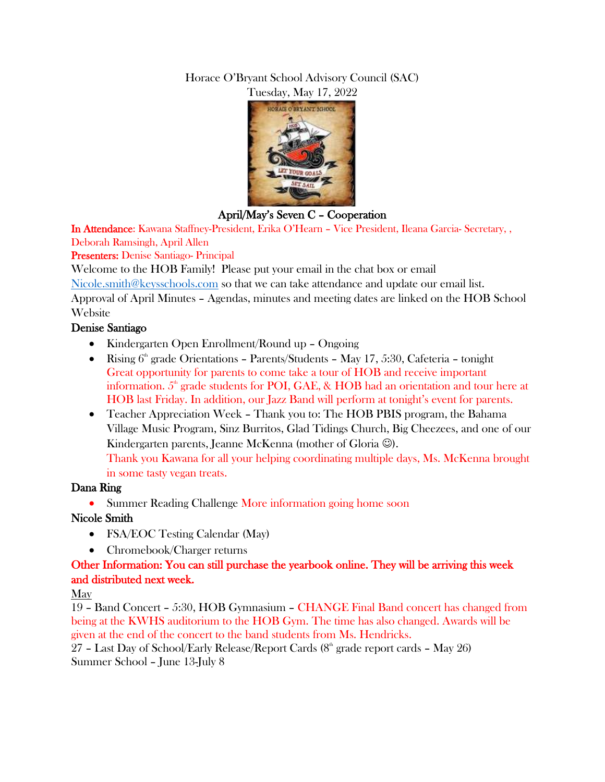#### Horace O'Bryant School Advisory Council (SAC) Tuesday, May 17, 2022



April/May's Seven C – Cooperation

In Attendance: Kawana Staffney-President, Erika O'Hearn – Vice President, Ileana Garcia- Secretary, , Deborah Ramsingh, April Allen

Presenters: Denise Santiago- Principal

Welcome to the HOB Family! Please put your email in the chat box or email

[Nicole.smith@keysschools.com](mailto:Nicole.smith@keysschools.com) so that we can take attendance and update our email list.

Approval of April Minutes – Agendas, minutes and meeting dates are linked on the HOB School Website

#### Denise Santiago

- Kindergarten Open Enrollment/Round up Ongoing
- Rising  $6<sup>th</sup>$  grade Orientations Parents/Students May 17, 5:30, Cafeteria tonight Great opportunity for parents to come take a tour of HOB and receive important information.  $5<sup>th</sup>$  grade students for POI, GAE, & HOB had an orientation and tour here at HOB last Friday. In addition, our Jazz Band will perform at tonight's event for parents.
- Teacher Appreciation Week Thank you to: The HOB PBIS program, the Bahama Village Music Program, Sinz Burritos, Glad Tidings Church, Big Cheezees, and one of our Kindergarten parents, Jeanne McKenna (mother of Gloria  $\circledcirc$ ). Thank you Kawana for all your helping coordinating multiple days, Ms. McKenna brought in some tasty vegan treats.

# Dana Ring

• Summer Reading Challenge More information going home soon

# Nicole Smith

- FSA/EOC Testing Calendar (May)
- Chromebook/Charger returns

# Other Information: You can still purchase the yearbook online. They will be arriving this week and distributed next week.

# May

19 – Band Concert – 5:30, HOB Gymnasium – CHANGE Final Band concert has changed from being at the KWHS auditorium to the HOB Gym. The time has also changed. Awards will be given at the end of the concert to the band students from Ms. Hendricks.

27 – Last Day of School/Early Release/Report Cards  $(8<sup>th</sup>$  grade report cards – May 26) Summer School – June 13-July 8